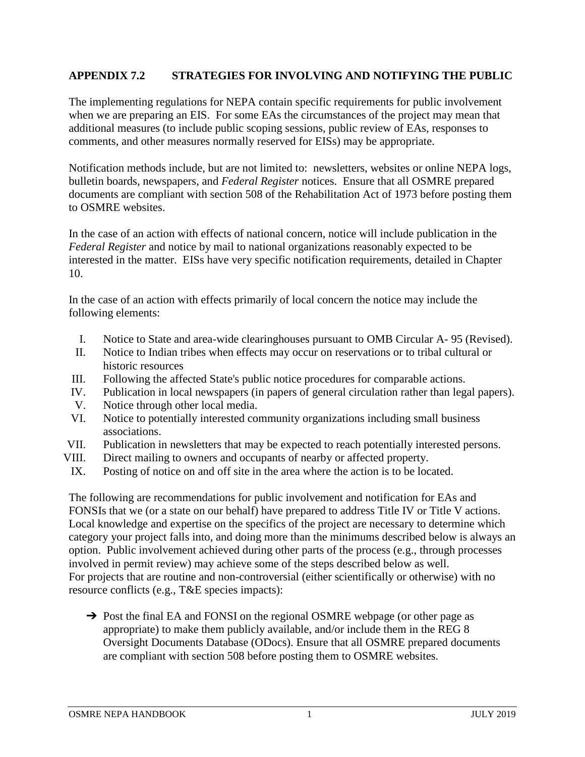## **APPENDIX 7.2 STRATEGIES FOR INVOLVING AND NOTIFYING THE PUBLIC**

The implementing regulations for NEPA contain specific requirements for public involvement when we are preparing an EIS. For some EAs the circumstances of the project may mean that additional measures (to include public scoping sessions, public review of EAs, responses to comments, and other measures normally reserved for EISs) may be appropriate.

Notification methods include, but are not limited to: newsletters, websites or online NEPA logs, bulletin boards, newspapers, and *Federal Register* notices. Ensure that all OSMRE prepared documents are compliant with section 508 of the Rehabilitation Act of 1973 before posting them to OSMRE websites.

In the case of an action with effects of national concern, notice will include publication in the *Federal Register* and notice by mail to national organizations reasonably expected to be interested in the matter. EISs have very specific notification requirements, detailed in Chapter 10.

In the case of an action with effects primarily of local concern the notice may include the following elements:

- I. Notice to State and area-wide clearinghouses pursuant to OMB Circular A- 95 (Revised).
- II. Notice to Indian tribes when effects may occur on reservations or to tribal cultural or historic resources
- III. Following the affected State's public notice procedures for comparable actions.
- IV. Publication in local newspapers (in papers of general circulation rather than legal papers).
- V. Notice through other local media.
- VI. Notice to potentially interested community organizations including small business associations.
- VII. Publication in newsletters that may be expected to reach potentially interested persons.
- VIII. Direct mailing to owners and occupants of nearby or affected property.
- IX. Posting of notice on and off site in the area where the action is to be located.

The following are recommendations for public involvement and notification for EAs and FONSIs that we (or a state on our behalf) have prepared to address Title IV or Title V actions. Local knowledge and expertise on the specifics of the project are necessary to determine which category your project falls into, and doing more than the minimums described below is always an option. Public involvement achieved during other parts of the process (e.g., through processes involved in permit review) may achieve some of the steps described below as well. For projects that are routine and non-controversial (either scientifically or otherwise) with no resource conflicts (e.g., T&E species impacts):

→ Post the final EA and FONSI on the regional OSMRE webpage (or other page as appropriate) to make them publicly available, and/or include them in the REG 8 Oversight Documents Database (ODocs). Ensure that all OSMRE prepared documents are compliant with section 508 before posting them to OSMRE websites.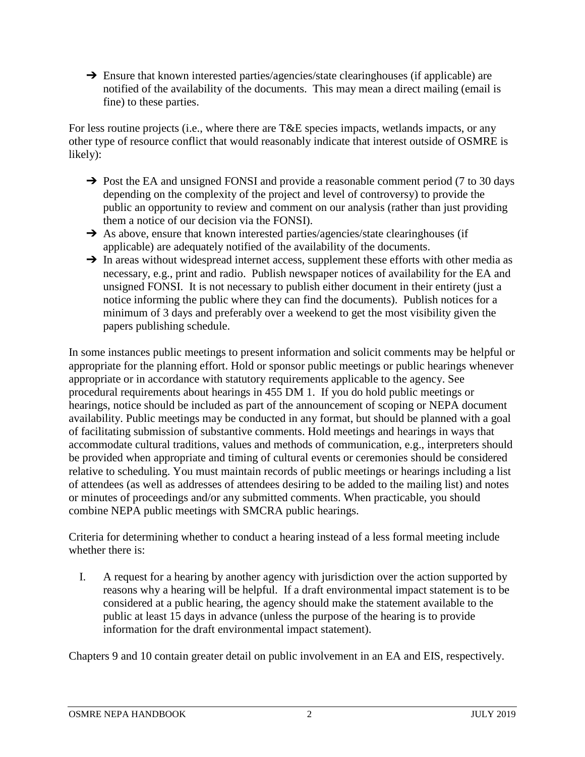→ Ensure that known interested parties/agencies/state clearinghouses (if applicable) are notified of the availability of the documents. This may mean a direct mailing (email is fine) to these parties.

For less routine projects (i.e., where there are T&E species impacts, wetlands impacts, or any other type of resource conflict that would reasonably indicate that interest outside of OSMRE is likely):

- → Post the EA and unsigned FONSI and provide a reasonable comment period (7 to 30 days depending on the complexity of the project and level of controversy) to provide the public an opportunity to review and comment on our analysis (rather than just providing them a notice of our decision via the FONSI).
- → As above, ensure that known interested parties/agencies/state clearinghouses (if applicable) are adequately notified of the availability of the documents.
- → In areas without widespread internet access, supplement these efforts with other media as necessary, e.g., print and radio. Publish newspaper notices of availability for the EA and unsigned FONSI. It is not necessary to publish either document in their entirety (just a notice informing the public where they can find the documents). Publish notices for a minimum of 3 days and preferably over a weekend to get the most visibility given the papers publishing schedule.

In some instances public meetings to present information and solicit comments may be helpful or appropriate for the planning effort. Hold or sponsor public meetings or public hearings whenever appropriate or in accordance with statutory requirements applicable to the agency. See procedural requirements about hearings in 455 DM 1. If you do hold public meetings or hearings, notice should be included as part of the announcement of scoping or NEPA document availability. Public meetings may be conducted in any format, but should be planned with a goal of facilitating submission of substantive comments. Hold meetings and hearings in ways that accommodate cultural traditions, values and methods of communication, e.g., interpreters should be provided when appropriate and timing of cultural events or ceremonies should be considered relative to scheduling. You must maintain records of public meetings or hearings including a list of attendees (as well as addresses of attendees desiring to be added to the mailing list) and notes or minutes of proceedings and/or any submitted comments. When practicable, you should combine NEPA public meetings with SMCRA public hearings.

Criteria for determining whether to conduct a hearing instead of a less formal meeting include whether there is:

I. A request for a hearing by another agency with jurisdiction over the action supported by reasons why a hearing will be helpful. If a draft environmental impact statement is to be considered at a public hearing, the agency should make the statement available to the public at least 15 days in advance (unless the purpose of the hearing is to provide information for the draft environmental impact statement).

Chapters 9 and 10 contain greater detail on public involvement in an EA and EIS, respectively.